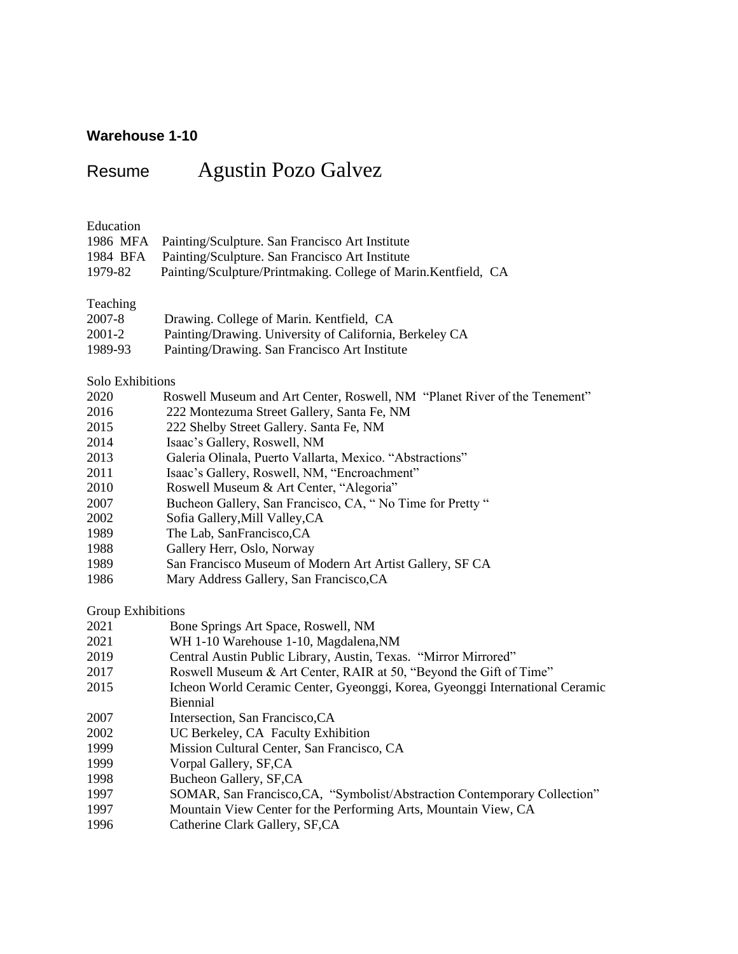## **Warehouse 1-10**

# Resume Agustin Pozo Galvez

### Education

|         | 1986 MFA Painting/Sculpture. San Francisco Art Institute        |
|---------|-----------------------------------------------------------------|
|         | 1984 BFA Painting/Sculpture. San Francisco Art Institute        |
| 1979-82 | Painting/Sculpture/Printmaking. College of Marin. Kentfield, CA |

## Teaching

| 2007-8  | Drawing. College of Marin. Kentfield, CA                |
|---------|---------------------------------------------------------|
| 2001-2  | Painting/Drawing. University of California, Berkeley CA |
| 1989-93 | Painting/Drawing. San Francisco Art Institute           |

### Solo Exhibitions

| 2020 | Roswell Museum and Art Center, Roswell, NM "Planet River of the Tenement" |
|------|---------------------------------------------------------------------------|
| 2016 | 222 Montezuma Street Gallery, Santa Fe, NM                                |
| 2015 | 222 Shelby Street Gallery. Santa Fe, NM                                   |
| 2014 | Isaac's Gallery, Roswell, NM                                              |
| 2013 | Galeria Olinala, Puerto Vallarta, Mexico. "Abstractions"                  |
| 2011 | Isaac's Gallery, Roswell, NM, "Encroachment"                              |
| 2010 | Roswell Museum & Art Center, "Alegoria"                                   |
| 2007 | Bucheon Gallery, San Francisco, CA, "No Time for Pretty "                 |
| 2002 | Sofia Gallery, Mill Valley, CA                                            |
| 1989 | The Lab, SanFrancisco, CA                                                 |
| 1988 | Gallery Herr, Oslo, Norway                                                |
| 1989 | San Francisco Museum of Modern Art Artist Gallery, SF CA                  |
| 1986 | Mary Address Gallery, San Francisco, CA                                   |

## Group Exhibitions

| 2021<br>Bone Springs Art Space, Roswell, NM |  |  |
|---------------------------------------------|--|--|
|---------------------------------------------|--|--|

- 2021 WH 1-10 Warehouse 1-10, Magdalena,NM
- 2019 Central Austin Public Library, Austin, Texas. "Mirror Mirrored"
- 2017 Roswell Museum & Art Center, RAIR at 50, "Beyond the Gift of Time"
- 2015 Icheon World Ceramic Center, Gyeonggi, Korea, Gyeonggi International Ceramic Biennial
- 2007 Intersection, San Francisco,CA
- 2002 UC Berkeley, CA Faculty Exhibition
- 1999 Mission Cultural Center, San Francisco, CA
- 1999 Vorpal Gallery, SF,CA
- 1998 Bucheon Gallery, SF,CA
- 1997 SOMAR, San Francisco,CA, "Symbolist/Abstraction Contemporary Collection"
- 1997 Mountain View Center for the Performing Arts, Mountain View, CA
- 1996 Catherine Clark Gallery, SF,CA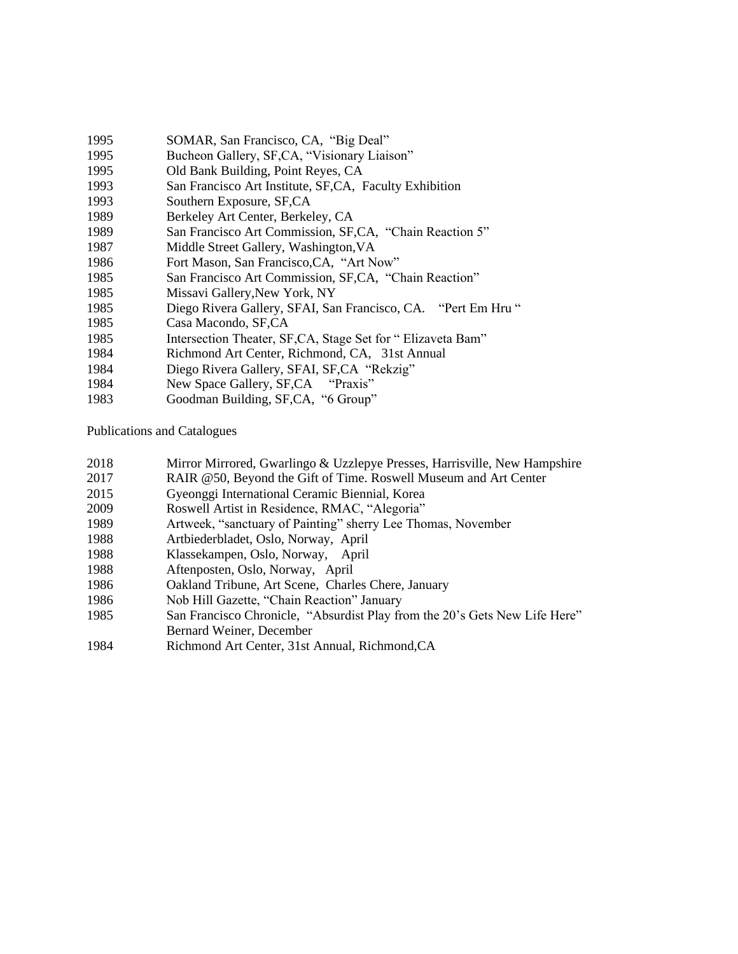- SOMAR, San Francisco, CA, "Big Deal"
- Bucheon Gallery, SF,CA, "Visionary Liaison"
- Old Bank Building, Point Reyes, CA
- San Francisco Art Institute, SF,CA, Faculty Exhibition
- Southern Exposure, SF,CA
- Berkeley Art Center, Berkeley, CA
- San Francisco Art Commission, SF,CA, "Chain Reaction 5"
- Middle Street Gallery, Washington,VA
- Fort Mason, San Francisco,CA, "Art Now"
- San Francisco Art Commission, SF,CA, "Chain Reaction"
- Missavi Gallery,New York, NY
- Diego Rivera Gallery, SFAI, San Francisco, CA. "Pert Em Hru "
- Casa Macondo, SF,CA
- Intersection Theater, SF,CA, Stage Set for " Elizaveta Bam"
- Richmond Art Center, Richmond, CA, 31st Annual
- Diego Rivera Gallery, SFAI, SF,CA "Rekzig"
- New Space Gallery, SF,CA "Praxis"
- Goodman Building, SF,CA, "6 Group"

Publications and Catalogues

- Mirror Mirrored, Gwarlingo & Uzzlepye Presses, Harrisville, New Hampshire
- RAIR @50, Beyond the Gift of Time. Roswell Museum and Art Center
- Gyeonggi International Ceramic Biennial, Korea
- Roswell Artist in Residence, RMAC, "Alegoria"
- Artweek, "sanctuary of Painting" sherry Lee Thomas, November
- Artbiederbladet, Oslo, Norway, April
- Klassekampen, Oslo, Norway, April
- Aftenposten, Oslo, Norway, April
- Oakland Tribune, Art Scene, Charles Chere, January
- Nob Hill Gazette, "Chain Reaction" January
- San Francisco Chronicle, "Absurdist Play from the 20's Gets New Life Here" Bernard Weiner, December
- Richmond Art Center, 31st Annual, Richmond,CA